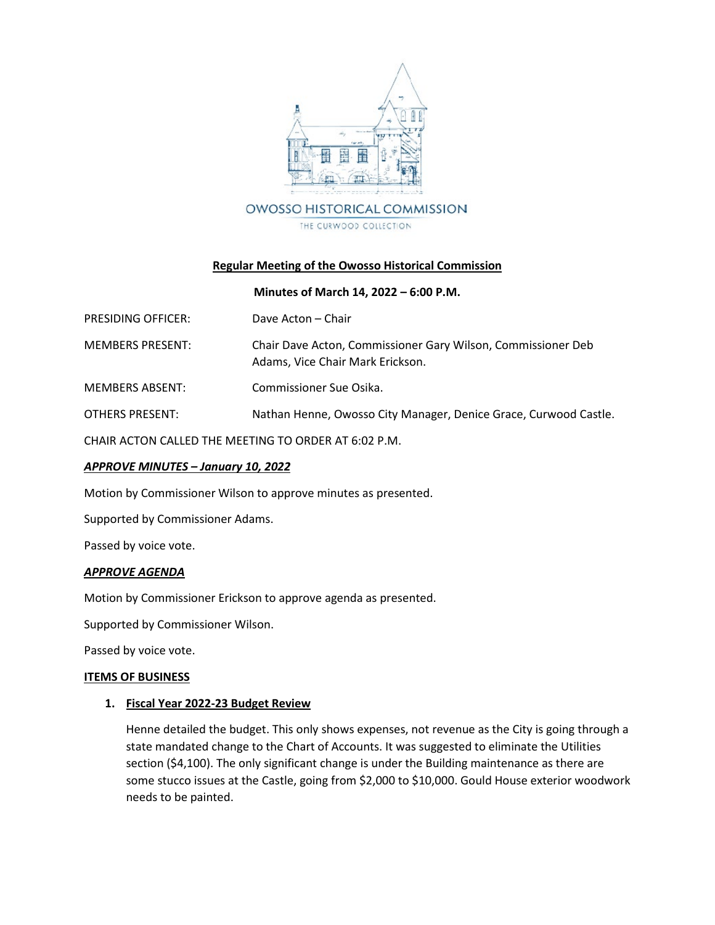

### **Regular Meeting of the Owosso Historical Commission**

### **Minutes of March 14, 2022 – 6:00 P.M.**

| <b>PRESIDING OFFICER:</b> | Dave Acton – Chair                                                                               |
|---------------------------|--------------------------------------------------------------------------------------------------|
| <b>MEMBERS PRESENT:</b>   | Chair Dave Acton, Commissioner Gary Wilson, Commissioner Deb<br>Adams, Vice Chair Mark Erickson. |
| <b>MEMBERS ABSENT:</b>    | Commissioner Sue Osika.                                                                          |
| OTHERS PRESENT:           | Nathan Henne, Owosso City Manager, Denice Grace, Curwood Castle.                                 |
|                           |                                                                                                  |

CHAIR ACTON CALLED THE MEETING TO ORDER AT 6:02 P.M.

### *APPROVE MINUTES – January 10, 2022*

Motion by Commissioner Wilson to approve minutes as presented.

Supported by Commissioner Adams.

Passed by voice vote.

### *APPROVE AGENDA*

Motion by Commissioner Erickson to approve agenda as presented.

Supported by Commissioner Wilson.

Passed by voice vote.

### **ITEMS OF BUSINESS**

### **1. Fiscal Year 2022-23 Budget Review**

Henne detailed the budget. This only shows expenses, not revenue as the City is going through a state mandated change to the Chart of Accounts. It was suggested to eliminate the Utilities section (\$4,100). The only significant change is under the Building maintenance as there are some stucco issues at the Castle, going from \$2,000 to \$10,000. Gould House exterior woodwork needs to be painted.